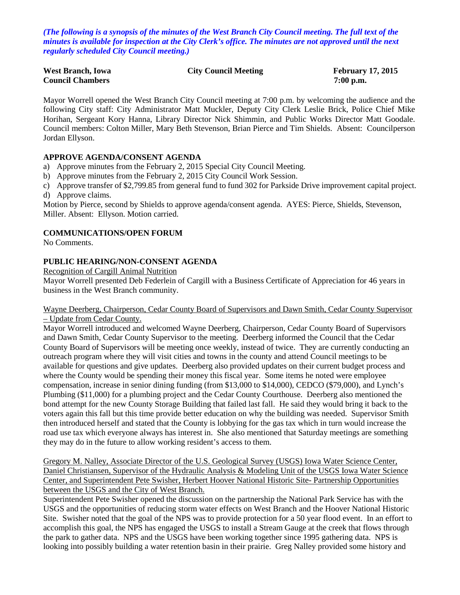*(The following is a synopsis of the minutes of the West Branch City Council meeting. The full text of the minutes is available for inspection at the City Clerk's office. The minutes are not approved until the next regularly scheduled City Council meeting.)*

| <b>West Branch, Iowa</b> | <b>City Council Meeting</b> | <b>February 17, 2015</b> |
|--------------------------|-----------------------------|--------------------------|
| <b>Council Chambers</b>  |                             | $7:00$ p.m.              |

Mayor Worrell opened the West Branch City Council meeting at 7:00 p.m. by welcoming the audience and the following City staff: City Administrator Matt Muckler, Deputy City Clerk Leslie Brick, Police Chief Mike Horihan, Sergeant Kory Hanna, Library Director Nick Shimmin, and Public Works Director Matt Goodale. Council members: Colton Miller, Mary Beth Stevenson, Brian Pierce and Tim Shields. Absent: Councilperson Jordan Ellyson.

## **APPROVE AGENDA/CONSENT AGENDA**

- a) Approve minutes from the February 2, 2015 Special City Council Meeting.
- b) Approve minutes from the February 2, 2015 City Council Work Session.
- c) Approve transfer of \$2,799.85 from general fund to fund 302 for Parkside Drive improvement capital project.
- d) Approve claims.

Motion by Pierce, second by Shields to approve agenda/consent agenda. AYES: Pierce, Shields, Stevenson, Miller. Absent: Ellyson. Motion carried.

# **COMMUNICATIONS/OPEN FORUM**

No Comments.

## **PUBLIC HEARING/NON-CONSENT AGENDA**

Recognition of Cargill Animal Nutrition

Mayor Worrell presented Deb Federlein of Cargill with a Business Certificate of Appreciation for 46 years in business in the West Branch community.

#### Wayne Deerberg, Chairperson, Cedar County Board of Supervisors and Dawn Smith, Cedar County Supervisor – Update from Cedar County.

Mayor Worrell introduced and welcomed Wayne Deerberg, Chairperson, Cedar County Board of Supervisors and Dawn Smith, Cedar County Supervisor to the meeting. Deerberg informed the Council that the Cedar County Board of Supervisors will be meeting once weekly, instead of twice. They are currently conducting an outreach program where they will visit cities and towns in the county and attend Council meetings to be available for questions and give updates. Deerberg also provided updates on their current budget process and where the County would be spending their money this fiscal year. Some items he noted were employee compensation, increase in senior dining funding (from \$13,000 to \$14,000), CEDCO (\$79,000), and Lynch's Plumbing (\$11,000) for a plumbing project and the Cedar County Courthouse. Deerberg also mentioned the bond attempt for the new County Storage Building that failed last fall. He said they would bring it back to the voters again this fall but this time provide better education on why the building was needed. Supervisor Smith then introduced herself and stated that the County is lobbying for the gas tax which in turn would increase the road use tax which everyone always has interest in. She also mentioned that Saturday meetings are something they may do in the future to allow working resident's access to them.

Gregory M. Nalley, Associate Director of the U.S. Geological Survey (USGS) Iowa Water Science Center, Daniel Christiansen, Supervisor of the Hydraulic Analysis & Modeling Unit of the USGS Iowa Water Science Center, and Superintendent Pete Swisher, Herbert Hoover National Historic Site- Partnership Opportunities between the USGS and the City of West Branch.

Superintendent Pete Swisher opened the discussion on the partnership the National Park Service has with the USGS and the opportunities of reducing storm water effects on West Branch and the Hoover National Historic Site. Swisher noted that the goal of the NPS was to provide protection for a 50 year flood event. In an effort to accomplish this goal, the NPS has engaged the USGS to install a Stream Gauge at the creek that flows through the park to gather data. NPS and the USGS have been working together since 1995 gathering data. NPS is looking into possibly building a water retention basin in their prairie. Greg Nalley provided some history and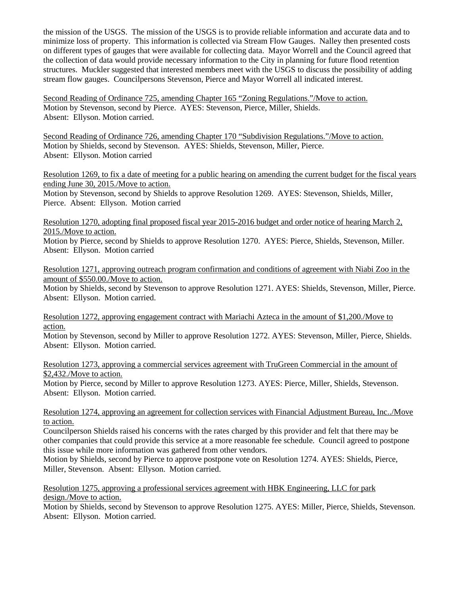the mission of the USGS. The mission of the USGS is to provide reliable information and accurate data and to minimize loss of property. This information is collected via Stream Flow Gauges. Nalley then presented costs on different types of gauges that were available for collecting data. Mayor Worrell and the Council agreed that the collection of data would provide necessary information to the City in planning for future flood retention structures. Muckler suggested that interested members meet with the USGS to discuss the possibility of adding stream flow gauges. Councilpersons Stevenson, Pierce and Mayor Worrell all indicated interest.

Second Reading of Ordinance 725, amending Chapter 165 "Zoning Regulations."/Move to action. Motion by Stevenson, second by Pierce. AYES: Stevenson, Pierce, Miller, Shields. Absent: Ellyson. Motion carried.

Second Reading of Ordinance 726, amending Chapter 170 "Subdivision Regulations."/Move to action. Motion by Shields, second by Stevenson. AYES: Shields, Stevenson, Miller, Pierce. Absent: Ellyson. Motion carried

Resolution 1269, to fix a date of meeting for a public hearing on amending the current budget for the fiscal years ending June 30, 2015./Move to action.

Motion by Stevenson, second by Shields to approve Resolution 1269. AYES: Stevenson, Shields, Miller, Pierce. Absent: Ellyson. Motion carried

Resolution 1270, adopting final proposed fiscal year 2015-2016 budget and order notice of hearing March 2, 2015./Move to action.

Motion by Pierce, second by Shields to approve Resolution 1270. AYES: Pierce, Shields, Stevenson, Miller. Absent: Ellyson. Motion carried

Resolution 1271, approving outreach program confirmation and conditions of agreement with Niabi Zoo in the amount of \$550.00./Move to action.

Motion by Shields, second by Stevenson to approve Resolution 1271. AYES: Shields, Stevenson, Miller, Pierce. Absent: Ellyson. Motion carried.

Resolution 1272, approving engagement contract with Mariachi Azteca in the amount of \$1,200./Move to action.

Motion by Stevenson, second by Miller to approve Resolution 1272. AYES: Stevenson, Miller, Pierce, Shields. Absent: Ellyson. Motion carried.

Resolution 1273, approving a commercial services agreement with TruGreen Commercial in the amount of \$2,432./Move to action.

Motion by Pierce, second by Miller to approve Resolution 1273. AYES: Pierce, Miller, Shields, Stevenson. Absent: Ellyson. Motion carried.

#### Resolution 1274, approving an agreement for collection services with Financial Adjustment Bureau, Inc../Move to action.

Councilperson Shields raised his concerns with the rates charged by this provider and felt that there may be other companies that could provide this service at a more reasonable fee schedule. Council agreed to postpone this issue while more information was gathered from other vendors.

Motion by Shields, second by Pierce to approve postpone vote on Resolution 1274. AYES: Shields, Pierce, Miller, Stevenson. Absent: Ellyson. Motion carried.

Resolution 1275, approving a professional services agreement with HBK Engineering, LLC for park design./Move to action.

Motion by Shields, second by Stevenson to approve Resolution 1275. AYES: Miller, Pierce, Shields, Stevenson. Absent: Ellyson. Motion carried.